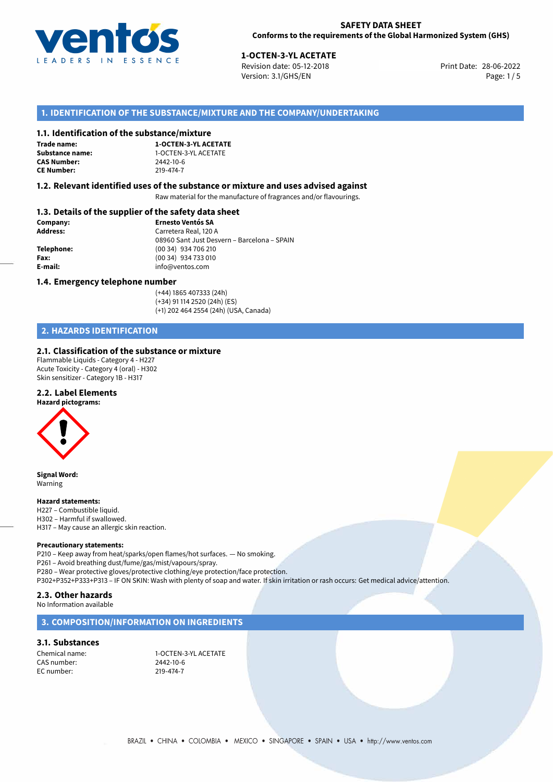

**1-OCTEN-3-YL ACETATE**<br>
Revision date: 05-12-2018 **Print Date: 28-06-2022** Version: 3.1/GHS/EN Page: 1 / 5

## **1. IDENTIFICATION OF THE SUBSTANCE/MIXTURE AND THE COMPANY/UNDERTAKING**

## **1.1. Identification of the substance/mixture**

**Trade name: CAS Number: CE Number:** 219-474-7

**1-OCTEN-3-YL ACETATE Substance name:** 1-OCTEN-3-YL ACETATE<br> **CAS Number:** 2442-10-6

## **1.2. Relevant identified uses of the substance or mixture and uses advised against**

Raw material for the manufacture of fragrances and/or flavourings.

## **1.3. Details of the supplier of the safety data sheet**

| Company:        | <b>Ernesto Ventós SA</b>                    |  |
|-----------------|---------------------------------------------|--|
| <b>Address:</b> | Carretera Real, 120 A                       |  |
|                 | 08960 Sant Just Desvern - Barcelona - SPAIN |  |
| Telephone:      | (00 34) 934 706 210                         |  |
| Fax:            | (00 34) 934 733 010                         |  |
| E-mail:         | info@ventos.com                             |  |
|                 |                                             |  |

## **1.4. Emergency telephone number**

(+44) 1865 407333 (24h) (+34) 91 114 2520 (24h) (ES) (+1) 202 464 2554 (24h) (USA, Canada)

## **2. HAZARDS IDENTIFICATION**

## **2.1. Classification of the substance or mixture**

Flammable Liquids - Category 4 - H227 Acute Toxicity - Category 4 (oral) - H302 Skin sensitizer - Category 1B - H317

## **2.2. Label Elements**

**Hazard pictograms:**

**Signal Word:** Warning

#### **Hazard statements:**

H227 – Combustible liquid. H302 – Harmful if swallowed. H317 – May cause an allergic skin reaction.

#### **Precautionary statements:**

P210 – Keep away from heat/sparks/open flames/hot surfaces. — No smoking. P261 – Avoid breathing dust/fume/gas/mist/vapours/spray. P280 – Wear protective gloves/protective clothing/eye protection/face protection. P302+P352+P333+P313 – IF ON SKIN: Wash with plenty of soap and water. If skin irritation or rash occurs: Get medical advice/attention.

## **2.3. Other hazards**

No Information available

## **3. COMPOSITION/INFORMATION ON INGREDIENTS**

## **3.1. Substances**

CAS number: 2442-10-6 EC number: 219-474-7

Chemical name: 1-OCTEN-3-YL ACETATE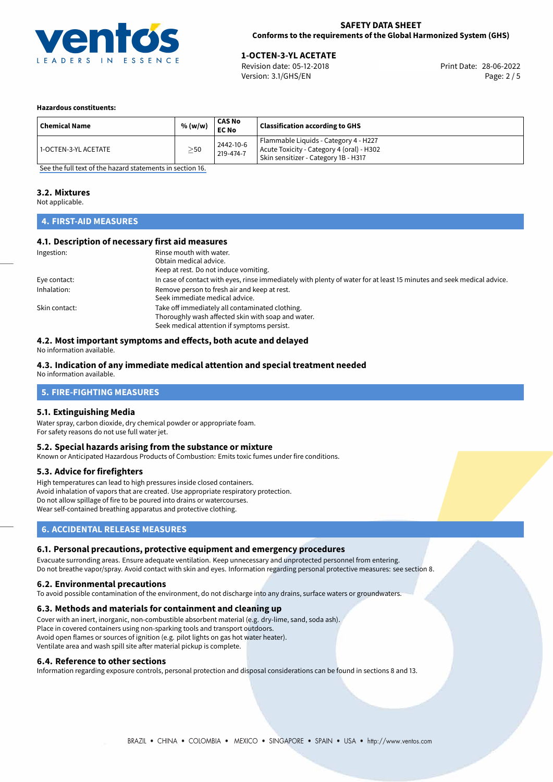

# **1-OCTEN-3-YL ACETATE**<br>
Revision date: 05-12-2018<br> **28-06-2022** Print Date: 28-06-2022

Revision date: 05-12-2018 Version: 3.1/GHS/EN Page: 2 / 5

## **Hazardous constituents:**

| ' Chemical Name        | % (w/w)   | CAS No<br><b>EC No</b> | <b>Classification according to GHS</b>                                                                                     |
|------------------------|-----------|------------------------|----------------------------------------------------------------------------------------------------------------------------|
| l 1-OCTEN-3-YL ACETATE | $\geq$ 50 | 2442-10-6<br>219-474-7 | Flammable Liquids - Category 4 - H227<br>Acute Toxicity - Category 4 (oral) - H302<br>Skin sensitizer - Category 1B - H317 |

[See the full text of the hazard statements in section 16.](#page-4-0)

## **3.2. Mixtures**

Not applicable.

## **4. FIRST-AID MEASURES**

## **4.1. Description of necessary first aid measures**

| Ingestion:    | Rinse mouth with water.                                                                                               |
|---------------|-----------------------------------------------------------------------------------------------------------------------|
|               | Obtain medical advice.                                                                                                |
|               | Keep at rest. Do not induce vomiting.                                                                                 |
| Eye contact:  | In case of contact with eyes, rinse immediately with plenty of water for at least 15 minutes and seek medical advice. |
| Inhalation:   | Remove person to fresh air and keep at rest.                                                                          |
|               | Seek immediate medical advice.                                                                                        |
| Skin contact: | Take off immediately all contaminated clothing.                                                                       |
|               | Thoroughly wash affected skin with soap and water.                                                                    |
|               | Seek medical attention if symptoms persist.                                                                           |

## **4.2. Most important symptoms and effects, both acute and delayed**

No information available.

## **4.3. Indication of any immediate medical attention and special treatment needed**

No information available.

## **5. FIRE-FIGHTING MEASURES**

## **5.1. Extinguishing Media**

Water spray, carbon dioxide, dry chemical powder or appropriate foam. For safety reasons do not use full water jet.

## **5.2. Special hazards arising from the substance or mixture**

Known or Anticipated Hazardous Products of Combustion: Emits toxic fumes under fire conditions.

## **5.3. Advice for firefighters**

High temperatures can lead to high pressures inside closed containers. Avoid inhalation of vapors that are created. Use appropriate respiratory protection. Do not allow spillage of fire to be poured into drains or watercourses. Wear self-contained breathing apparatus and protective clothing.

## **6. ACCIDENTAL RELEASE MEASURES**

## **6.1. Personal precautions, protective equipment and emergency procedures**

Evacuate surronding areas. Ensure adequate ventilation. Keep unnecessary and unprotected personnel from entering. Do not breathe vapor/spray. Avoid contact with skin and eyes. Information regarding personal protective measures: see section 8.

## **6.2. Environmental precautions**

To avoid possible contamination of the environment, do not discharge into any drains, surface waters or groundwaters.

## **6.3. Methods and materials for containment and cleaning up**

Cover with an inert, inorganic, non-combustible absorbent material (e.g. dry-lime, sand, soda ash). Place in covered containers using non-sparking tools and transport outdoors. Avoid open flames or sources of ignition (e.g. pilot lights on gas hot water heater). Ventilate area and wash spill site after material pickup is complete.

## **6.4. Reference to other sections**

Information regarding exposure controls, personal protection and disposal considerations can be found in sections 8 and 13.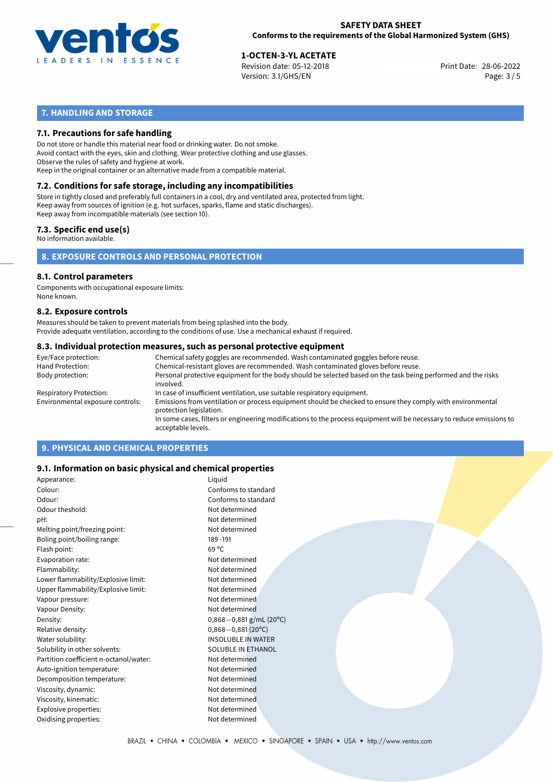

28-06-2022 **1-OCTEN-3-YL ACETATE** Revision date: 05-12-2018 Print Date: Version: 3.1/GHS/EN Page: 3 / 5

## **7. HANDLING AND STORAGE**

## **7.1. Precautions for safe handling**

Do not store or handle this material near food or drinking water. Do not smoke. Avoid contact with the eyes, skin and clothing. Wear protective clothing and use glasses. Observe the rules of safety and hygiene at work. Keep in the original container or an alternative made from a compatible material.

## **7.2. Conditions for safe storage, including any incompatibilities**

Store in tightly closed and preferably full containers in a cool, dry and ventilated area, protected from light. Keep away from sources of ignition (e.g. hot surfaces, sparks, flame and static discharges). Keep away from incompatible materials (see section 10).

## **7.3. Specific end use(s)**

No information available.

**8. EXPOSURE CONTROLS AND PERSONAL PROTECTION**

## **8.1. Control parameters**

Components with occupational exposure limits: None known.

## **8.2. Exposure controls**

Measures should be taken to prevent materials from being splashed into the body. Provide adequate ventilation, according to the conditions of use. Use a mechanical exhaust if required.

## **8.3. Individual protection measures, such as personal protective equipment**

| Eye/Face protection:             | Chemical safety goggles are recommended. Wash contaminated goggles before reuse.                                                            |
|----------------------------------|---------------------------------------------------------------------------------------------------------------------------------------------|
| Hand Protection:                 | Chemical-resistant gloves are recommended. Wash contaminated gloves before reuse.                                                           |
| Body protection:                 | Personal protective equipment for the body should be selected based on the task being performed and the risks<br>involved.                  |
| Respiratory Protection:          | In case of insufficient ventilation, use suitable respiratory equipment.                                                                    |
| Environmental exposure controls: | Emissions from ventilation or process equipment should be checked to ensure they comply with environmental<br>protection legislation.       |
|                                  | In some cases, filters or engineering modifications to the process equipment will be necessary to reduce emissions to<br>acceptable levels. |
|                                  |                                                                                                                                             |

## **9. PHYSICAL AND CHEMICAL PROPERTIES**

## **9.1. Information on basic physical and chemical properties**

| Appearance:                            | Liquid                       |
|----------------------------------------|------------------------------|
| Colour:                                | Conforms to standard         |
| Odour:                                 | Conforms to standard         |
| Odour theshold:                        | Not determined               |
| pH:                                    | Not determined               |
| Melting point/freezing point:          | Not determined               |
| Boling point/boiling range:            | 189 - 191                    |
| Flash point:                           | $69^{\circ}$ C               |
| Evaporation rate:                      | Not determined               |
| Flammability:                          | Not determined               |
| Lower flammability/Explosive limit:    | Not determined               |
| Upper flammability/Explosive limit:    | Not determined               |
| Vapour pressure:                       | Not determined               |
| Vapour Density:                        | Not determined               |
| Density:                               | $0,868 - 0,881$ g/mL (20°C)  |
| Relative density:                      | $0,868 - 0,881(20^{\circ}C)$ |
| Water solubility:                      | <b>INSOLUBLE IN WATER</b>    |
| Solubility in other solvents:          | <b>SOLUBLE IN ETHANOL</b>    |
| Partition coefficient n-octanol/water: | Not determined               |
| Auto-ignition temperature:             | Not determined               |
| Decomposition temperature:             | Not determined               |
| Viscosity, dynamic:                    | Not determined               |
| Viscosity, kinematic:                  | Not determined               |
| Explosive properties:                  | Not determined               |
| Oxidising properties:                  | Not determined               |
|                                        |                              |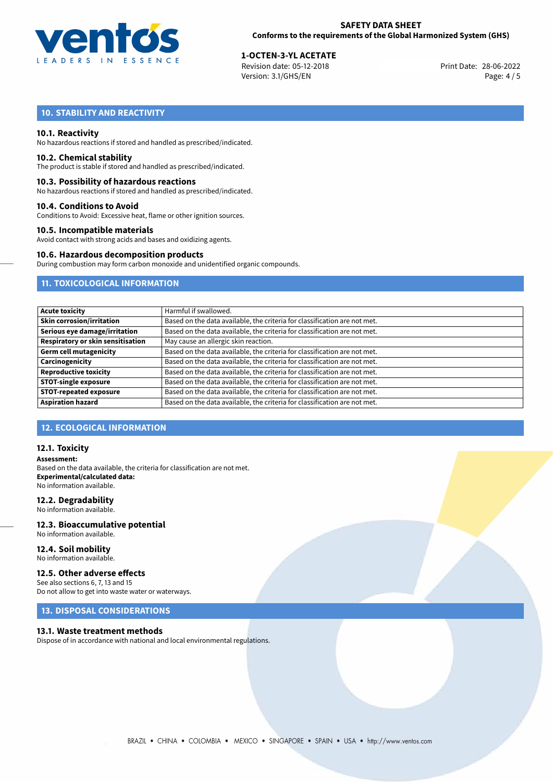

# **1-OCTEN-3-YL ACETATE**<br>
Revision date: 05-12-2018<br> **28-06-2022** Print Date: 28-06-2022

Revision date: 05-12-2018 Version: 3.1/GHS/EN Page: 4 / 5

## **10. STABILITY AND REACTIVITY**

## **10.1. Reactivity**

No hazardous reactions if stored and handled as prescribed/indicated.

## **10.2. Chemical stability**

The product is stable if stored and handled as prescribed/indicated.

## **10.3. Possibility of hazardous reactions**

No hazardous reactions if stored and handled as prescribed/indicated.

## **10.4. Conditions to Avoid**

Conditions to Avoid: Excessive heat, flame or other ignition sources.

## **10.5. Incompatible materials**

Avoid contact with strong acids and bases and oxidizing agents.

## **10.6. Hazardous decomposition products**

During combustion may form carbon monoxide and unidentified organic compounds.

## **11. TOXICOLOGICAL INFORMATION**

| <b>Acute toxicity</b>             | Harmful if swallowed.                                                     |
|-----------------------------------|---------------------------------------------------------------------------|
| <b>Skin corrosion/irritation</b>  | Based on the data available, the criteria for classification are not met. |
| Serious eye damage/irritation     | Based on the data available, the criteria for classification are not met. |
| Respiratory or skin sensitisation | May cause an allergic skin reaction.                                      |
| <b>Germ cell mutagenicity</b>     | Based on the data available, the criteria for classification are not met. |
| Carcinogenicity                   | Based on the data available, the criteria for classification are not met. |
| <b>Reproductive toxicity</b>      | Based on the data available, the criteria for classification are not met. |
| <b>STOT-single exposure</b>       | Based on the data available, the criteria for classification are not met. |
| <b>STOT-repeated exposure</b>     | Based on the data available, the criteria for classification are not met. |
| <b>Aspiration hazard</b>          | Based on the data available, the criteria for classification are not met. |

## **12. ECOLOGICAL INFORMATION**

## **12.1. Toxicity**

**Assessment:** Based on the data available, the criteria for classification are not met. **Experimental/calculated data:** No information available.

## **12.2. Degradability**

No information available.

#### **12.3. Bioaccumulative potential** No information available.

**12.4. Soil mobility**

## No information available.

## **12.5. Other adverse effects**

See also sections 6, 7, 13 and 15 Do not allow to get into waste water or waterways.

## **13. DISPOSAL CONSIDERATIONS**

## **13.1. Waste treatment methods**

Dispose of in accordance with national and local environmental regulations.